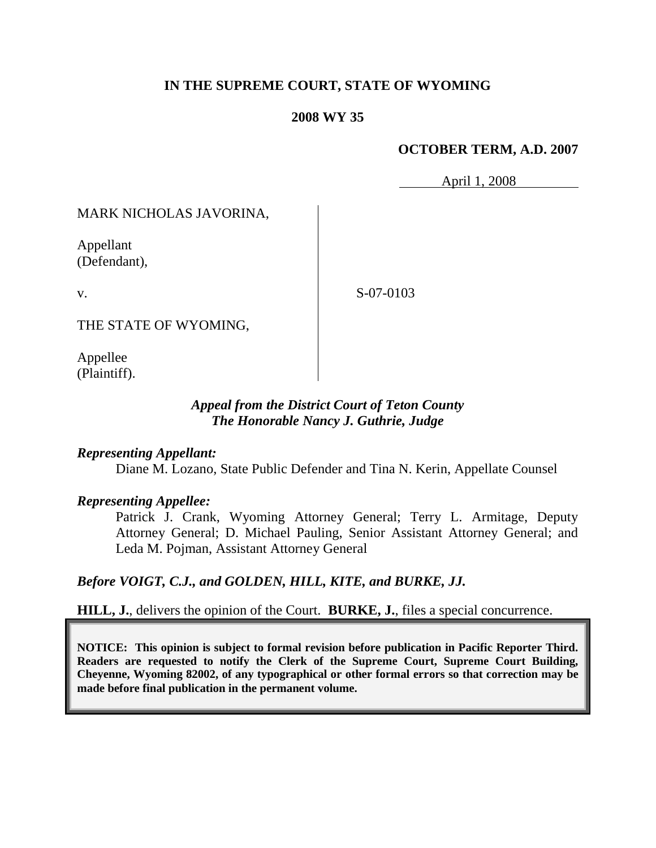# **IN THE SUPREME COURT, STATE OF WYOMING**

### **2008 WY 35**

## **OCTOBER TERM, A.D. 2007**

April 1, 2008

MARK NICHOLAS JAVORINA,

Appellant (Defendant),

v.

S-07-0103

THE STATE OF WYOMING,

Appellee (Plaintiff).

## *Appeal from the District Court of Teton County The Honorable Nancy J. Guthrie, Judge*

## *Representing Appellant:*

Diane M. Lozano, State Public Defender and Tina N. Kerin, Appellate Counsel

#### *Representing Appellee:*

Patrick J. Crank, Wyoming Attorney General; Terry L. Armitage, Deputy Attorney General; D. Michael Pauling, Senior Assistant Attorney General; and Leda M. Pojman, Assistant Attorney General

*Before VOIGT, C.J., and GOLDEN, HILL, KITE, and BURKE, JJ.*

**HILL, J.**, delivers the opinion of the Court. **BURKE, J.**, files a special concurrence.

**NOTICE: This opinion is subject to formal revision before publication in Pacific Reporter Third. Readers are requested to notify the Clerk of the Supreme Court, Supreme Court Building, Cheyenne, Wyoming 82002, of any typographical or other formal errors so that correction may be made before final publication in the permanent volume.**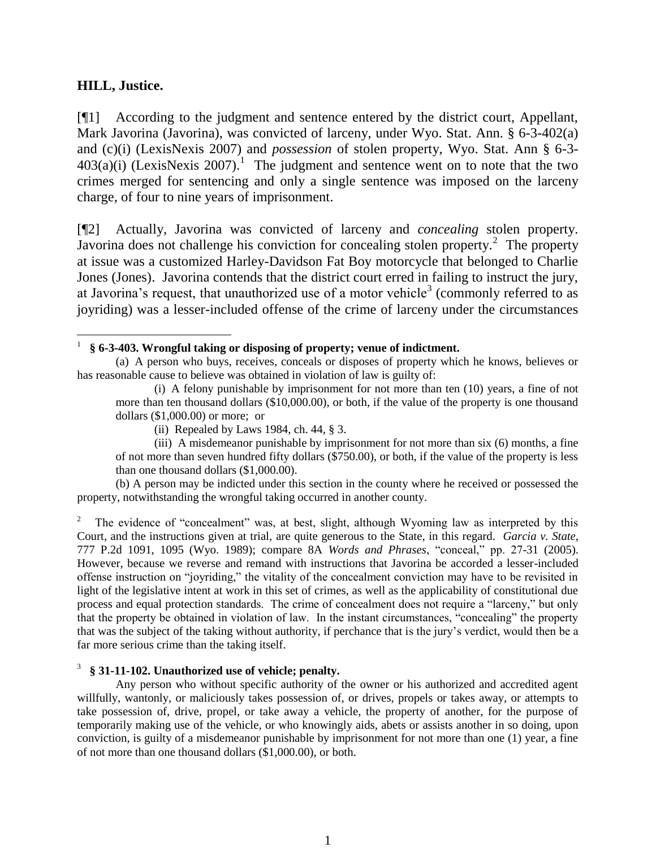## **HILL, Justice.**

[¶1] According to the judgment and sentence entered by the district court, Appellant, Mark Javorina (Javorina), was convicted of larceny, under Wyo. Stat. Ann. § 6-3-402(a) and (c)(i) (LexisNexis 2007) and *possession* of stolen property, Wyo. Stat. Ann § 6-3-  $403(a)(i)$  (LexisNexis 2007).<sup>1</sup> The judgment and sentence went on to note that the two crimes merged for sentencing and only a single sentence was imposed on the larceny charge, of four to nine years of imprisonment.

[¶2] Actually, Javorina was convicted of larceny and *concealing* stolen property. Javorina does not challenge his conviction for concealing stolen property.<sup>2</sup> The property at issue was a customized Harley-Davidson Fat Boy motorcycle that belonged to Charlie Jones (Jones). Javorina contends that the district court erred in failing to instruct the jury, at Javorina's request, that unauthorized use of a motor vehicle<sup>3</sup> (commonly referred to as joyriding) was a lesser-included offense of the crime of larceny under the circumstances

(b) A person may be indicted under this section in the county where he received or possessed the property, notwithstanding the wrongful taking occurred in another county.

2 The evidence of "concealment" was, at best, slight, although Wyoming law as interpreted by this Court, and the instructions given at trial, are quite generous to the State, in this regard. *Garcia v. State*, 777 P.2d 1091, 1095 (Wyo. 1989); compare 8A *Words and Phrases*, "conceal," pp. 27-31 (2005). However, because we reverse and remand with instructions that Javorina be accorded a lesser-included offense instruction on "joyriding," the vitality of the concealment conviction may have to be revisited in light of the legislative intent at work in this set of crimes, as well as the applicability of constitutional due process and equal protection standards. The crime of concealment does not require a "larceny," but only that the property be obtained in violation of law. In the instant circumstances, "concealing" the property that was the subject of the taking without authority, if perchance that is the jury's verdict, would then be a far more serious crime than the taking itself.

#### 3 **§ 31-11-102. Unauthorized use of vehicle; penalty.**

Any person who without specific authority of the owner or his authorized and accredited agent willfully, wantonly, or maliciously takes possession of, or drives, propels or takes away, or attempts to take possession of, drive, propel, or take away a vehicle, the property of another, for the purpose of temporarily making use of the vehicle, or who knowingly aids, abets or assists another in so doing, upon conviction, is guilty of a misdemeanor punishable by imprisonment for not more than one (1) year, a fine of not more than one thousand dollars (\$1,000.00), or both.

 $\overline{a}$ 1 **§ 6-3-403. Wrongful taking or disposing of property; venue of indictment.**

<sup>(</sup>a) A person who buys, receives, conceals or disposes of property which he knows, believes or has reasonable cause to believe was obtained in violation of law is guilty of:

<sup>(</sup>i) A felony punishable by imprisonment for not more than ten (10) years, a fine of not more than ten thousand dollars (\$10,000.00), or both, if the value of the property is one thousand dollars (\$1,000.00) or more; or

<sup>(</sup>ii) Repealed by Laws 1984, ch. 44, § 3.

<sup>(</sup>iii) A misdemeanor punishable by imprisonment for not more than six (6) months, a fine of not more than seven hundred fifty dollars (\$750.00), or both, if the value of the property is less than one thousand dollars (\$1,000.00).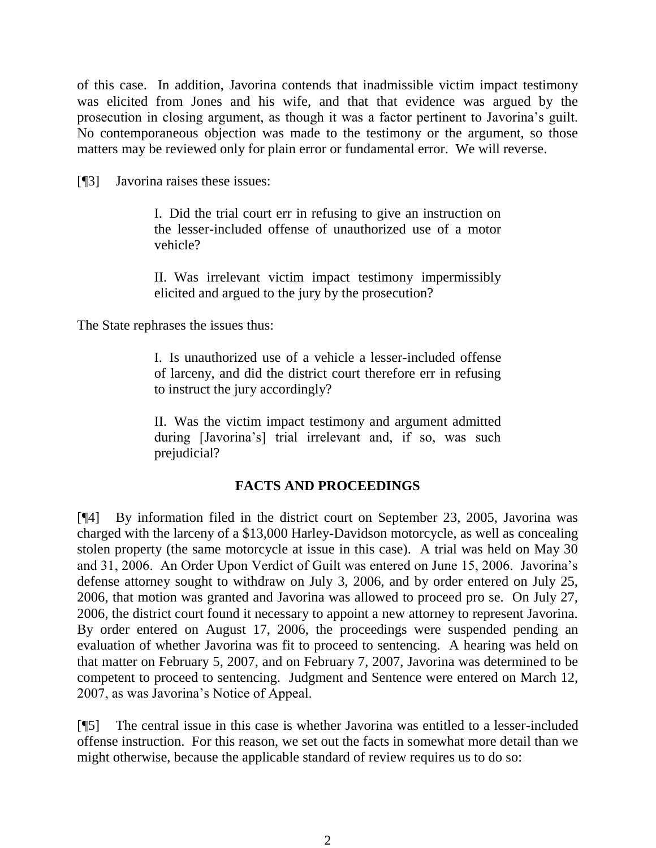of this case. In addition, Javorina contends that inadmissible victim impact testimony was elicited from Jones and his wife, and that that evidence was argued by the prosecution in closing argument, as though it was a factor pertinent to Javorina's guilt. No contemporaneous objection was made to the testimony or the argument, so those matters may be reviewed only for plain error or fundamental error. We will reverse.

[¶3] Javorina raises these issues:

I. Did the trial court err in refusing to give an instruction on the lesser-included offense of unauthorized use of a motor vehicle?

II. Was irrelevant victim impact testimony impermissibly elicited and argued to the jury by the prosecution?

The State rephrases the issues thus:

I. Is unauthorized use of a vehicle a lesser-included offense of larceny, and did the district court therefore err in refusing to instruct the jury accordingly?

II. Was the victim impact testimony and argument admitted during [Javorina's] trial irrelevant and, if so, was such prejudicial?

# **FACTS AND PROCEEDINGS**

[¶4] By information filed in the district court on September 23, 2005, Javorina was charged with the larceny of a \$13,000 Harley-Davidson motorcycle, as well as concealing stolen property (the same motorcycle at issue in this case). A trial was held on May 30 and 31, 2006. An Order Upon Verdict of Guilt was entered on June 15, 2006. Javorina's defense attorney sought to withdraw on July 3, 2006, and by order entered on July 25, 2006, that motion was granted and Javorina was allowed to proceed pro se. On July 27, 2006, the district court found it necessary to appoint a new attorney to represent Javorina. By order entered on August 17, 2006, the proceedings were suspended pending an evaluation of whether Javorina was fit to proceed to sentencing. A hearing was held on that matter on February 5, 2007, and on February 7, 2007, Javorina was determined to be competent to proceed to sentencing. Judgment and Sentence were entered on March 12, 2007, as was Javorina's Notice of Appeal.

[¶5] The central issue in this case is whether Javorina was entitled to a lesser-included offense instruction. For this reason, we set out the facts in somewhat more detail than we might otherwise, because the applicable standard of review requires us to do so: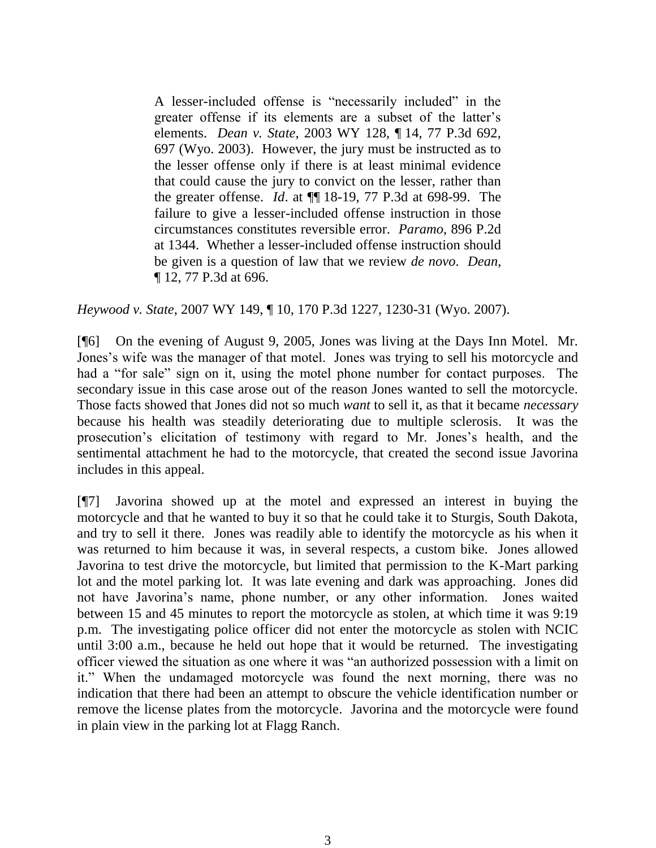A lesser-included offense is "necessarily included" in the greater offense if its elements are a subset of the latter's elements. *Dean v. State*, 2003 WY 128, ¶ 14, 77 P.3d 692, 697 (Wyo. 2003). However, the jury must be instructed as to the lesser offense only if there is at least minimal evidence that could cause the jury to convict on the lesser, rather than the greater offense. *Id*. at ¶¶ 18-19, 77 P.3d at 698-99. The failure to give a lesser-included offense instruction in those circumstances constitutes reversible error. *Paramo*, 896 P.2d at 1344. Whether a lesser-included offense instruction should be given is a question of law that we review *de novo*. *Dean*, ¶ 12, 77 P.3d at 696.

*Heywood v. State*, 2007 WY 149, ¶ 10, 170 P.3d 1227, 1230-31 (Wyo. 2007).

[¶6] On the evening of August 9, 2005, Jones was living at the Days Inn Motel. Mr. Jones's wife was the manager of that motel. Jones was trying to sell his motorcycle and had a "for sale" sign on it, using the motel phone number for contact purposes. The secondary issue in this case arose out of the reason Jones wanted to sell the motorcycle. Those facts showed that Jones did not so much *want* to sell it, as that it became *necessary* because his health was steadily deteriorating due to multiple sclerosis. It was the prosecution's elicitation of testimony with regard to Mr. Jones's health, and the sentimental attachment he had to the motorcycle, that created the second issue Javorina includes in this appeal.

[¶7] Javorina showed up at the motel and expressed an interest in buying the motorcycle and that he wanted to buy it so that he could take it to Sturgis, South Dakota, and try to sell it there. Jones was readily able to identify the motorcycle as his when it was returned to him because it was, in several respects, a custom bike. Jones allowed Javorina to test drive the motorcycle, but limited that permission to the K-Mart parking lot and the motel parking lot. It was late evening and dark was approaching. Jones did not have Javorina's name, phone number, or any other information. Jones waited between 15 and 45 minutes to report the motorcycle as stolen, at which time it was 9:19 p.m. The investigating police officer did not enter the motorcycle as stolen with NCIC until 3:00 a.m., because he held out hope that it would be returned. The investigating officer viewed the situation as one where it was "an authorized possession with a limit on it." When the undamaged motorcycle was found the next morning, there was no indication that there had been an attempt to obscure the vehicle identification number or remove the license plates from the motorcycle. Javorina and the motorcycle were found in plain view in the parking lot at Flagg Ranch.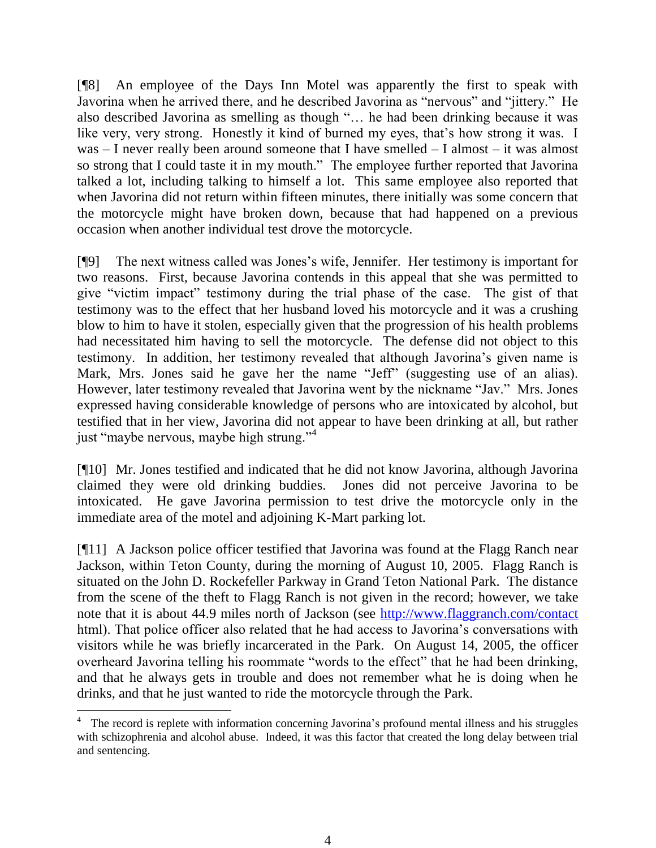[¶8] An employee of the Days Inn Motel was apparently the first to speak with Javorina when he arrived there, and he described Javorina as "nervous" and "jittery." He also described Javorina as smelling as though "… he had been drinking because it was like very, very strong. Honestly it kind of burned my eyes, that's how strong it was. I was – I never really been around someone that I have smelled – I almost – it was almost so strong that I could taste it in my mouth." The employee further reported that Javorina talked a lot, including talking to himself a lot. This same employee also reported that when Javorina did not return within fifteen minutes, there initially was some concern that the motorcycle might have broken down, because that had happened on a previous occasion when another individual test drove the motorcycle.

[¶9] The next witness called was Jones's wife, Jennifer. Her testimony is important for two reasons. First, because Javorina contends in this appeal that she was permitted to give "victim impact" testimony during the trial phase of the case. The gist of that testimony was to the effect that her husband loved his motorcycle and it was a crushing blow to him to have it stolen, especially given that the progression of his health problems had necessitated him having to sell the motorcycle. The defense did not object to this testimony. In addition, her testimony revealed that although Javorina's given name is Mark, Mrs. Jones said he gave her the name "Jeff" (suggesting use of an alias). However, later testimony revealed that Javorina went by the nickname "Jav." Mrs. Jones expressed having considerable knowledge of persons who are intoxicated by alcohol, but testified that in her view, Javorina did not appear to have been drinking at all, but rather just "maybe nervous, maybe high strung."<sup>4</sup>

[¶10] Mr. Jones testified and indicated that he did not know Javorina, although Javorina claimed they were old drinking buddies. Jones did not perceive Javorina to be intoxicated. He gave Javorina permission to test drive the motorcycle only in the immediate area of the motel and adjoining K-Mart parking lot.

[¶11] A Jackson police officer testified that Javorina was found at the Flagg Ranch near Jackson, within Teton County, during the morning of August 10, 2005. Flagg Ranch is situated on the John D. Rockefeller Parkway in Grand Teton National Park. The distance from the scene of the theft to Flagg Ranch is not given in the record; however, we take note that it is about 44.9 miles north of Jackson (see<http://www.flaggranch.com/contact> html). That police officer also related that he had access to Javorina's conversations with visitors while he was briefly incarcerated in the Park. On August 14, 2005, the officer overheard Javorina telling his roommate "words to the effect" that he had been drinking, and that he always gets in trouble and does not remember what he is doing when he drinks, and that he just wanted to ride the motorcycle through the Park.

 4 The record is replete with information concerning Javorina's profound mental illness and his struggles with schizophrenia and alcohol abuse. Indeed, it was this factor that created the long delay between trial and sentencing.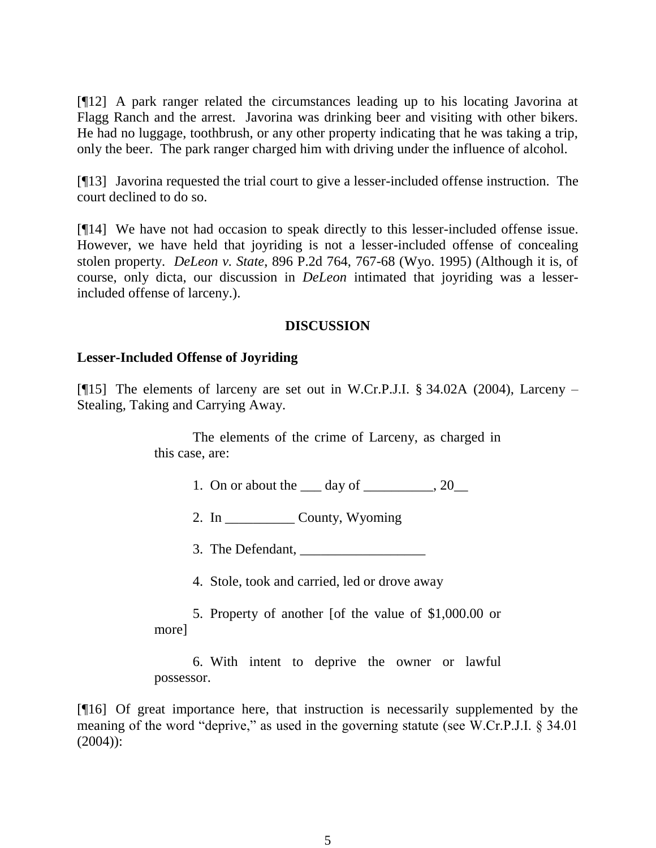[¶12] A park ranger related the circumstances leading up to his locating Javorina at Flagg Ranch and the arrest. Javorina was drinking beer and visiting with other bikers. He had no luggage, toothbrush, or any other property indicating that he was taking a trip, only the beer. The park ranger charged him with driving under the influence of alcohol.

[¶13] Javorina requested the trial court to give a lesser-included offense instruction. The court declined to do so.

[¶14] We have not had occasion to speak directly to this lesser-included offense issue. However, we have held that joyriding is not a lesser-included offense of concealing stolen property. *DeLeon v. State*, 896 P.2d 764, 767-68 (Wyo. 1995) (Although it is, of course, only dicta, our discussion in *DeLeon* intimated that joyriding was a lesserincluded offense of larceny.).

## **DISCUSSION**

#### **Lesser-Included Offense of Joyriding**

[ $[15]$ ] The elements of larceny are set out in W.Cr.P.J.I. § 34.02A (2004), Larceny – Stealing, Taking and Carrying Away.

> The elements of the crime of Larceny, as charged in this case, are:

- 1. On or about the  $\_\_\_\_\$  day of  $\_\_\_\_\_\_\$ , 20 $\_\_\_\_\$
- 2. In \_\_\_\_\_\_\_\_\_\_ County, Wyoming
- 3. The Defendant,
- 4. Stole, took and carried, led or drove away
- 5. Property of another [of the value of \$1,000.00 or more]

6. With intent to deprive the owner or lawful possessor.

[¶16] Of great importance here, that instruction is necessarily supplemented by the meaning of the word "deprive," as used in the governing statute (see W.Cr.P.J.I. § 34.01 (2004)):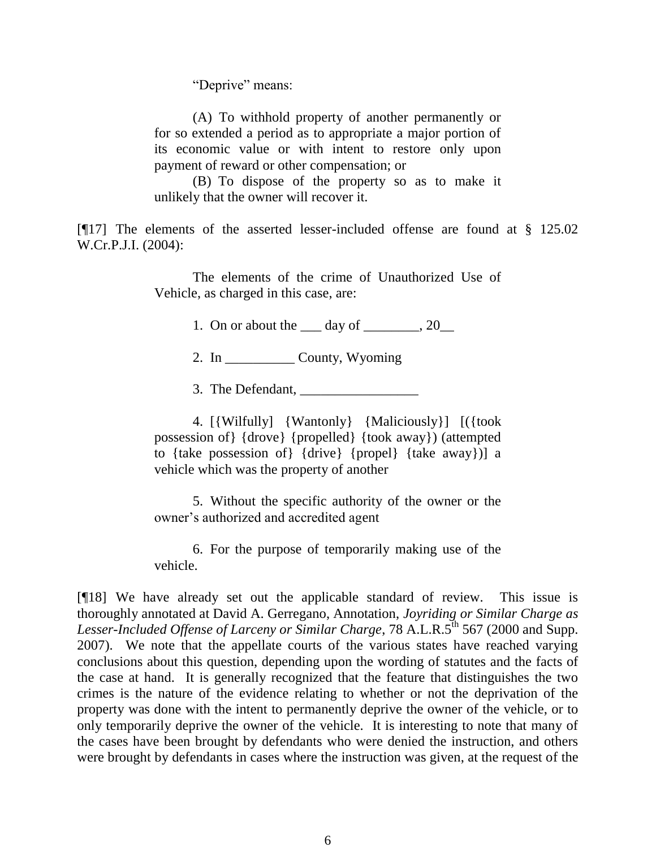"Deprive" means:

(A) To withhold property of another permanently or for so extended a period as to appropriate a major portion of its economic value or with intent to restore only upon payment of reward or other compensation; or

(B) To dispose of the property so as to make it unlikely that the owner will recover it.

[¶17] The elements of the asserted lesser-included offense are found at § 125.02 W.Cr.P.J.I. (2004):

> The elements of the crime of Unauthorized Use of Vehicle, as charged in this case, are:

> > 1. On or about the  $\_\_\_\$  day of  $\_\_\_\_\_\$ , 20

2. In \_\_\_\_\_\_\_\_\_\_ County, Wyoming

3. The Defendant,

4. [{Wilfully] {Wantonly} {Maliciously}] [({took possession of} {drove} {propelled} {took away}) (attempted to {take possession of} {drive} {propel} {take away})] a vehicle which was the property of another

5. Without the specific authority of the owner or the owner's authorized and accredited agent

6. For the purpose of temporarily making use of the vehicle.

[¶18] We have already set out the applicable standard of review. This issue is thoroughly annotated at David A. Gerregano, Annotation, *Joyriding or Similar Charge as*  Lesser-Included Offense of Larceny or Similar Charge, 78 A.L.R.5<sup>th</sup> 567 (2000 and Supp. 2007). We note that the appellate courts of the various states have reached varying conclusions about this question, depending upon the wording of statutes and the facts of the case at hand. It is generally recognized that the feature that distinguishes the two crimes is the nature of the evidence relating to whether or not the deprivation of the property was done with the intent to permanently deprive the owner of the vehicle, or to only temporarily deprive the owner of the vehicle. It is interesting to note that many of the cases have been brought by defendants who were denied the instruction, and others were brought by defendants in cases where the instruction was given, at the request of the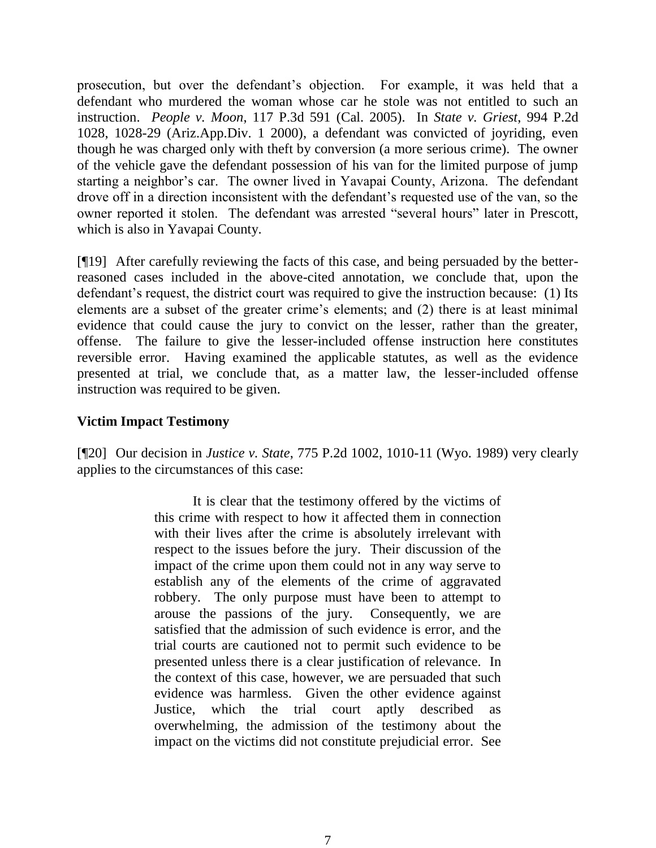prosecution, but over the defendant's objection. For example, it was held that a defendant who murdered the woman whose car he stole was not entitled to such an instruction. *People v. Moon*, 117 P.3d 591 (Cal. 2005). In *State v. Griest*, 994 P.2d 1028, 1028-29 (Ariz.App.Div. 1 2000), a defendant was convicted of joyriding, even though he was charged only with theft by conversion (a more serious crime). The owner of the vehicle gave the defendant possession of his van for the limited purpose of jump starting a neighbor's car. The owner lived in Yavapai County, Arizona. The defendant drove off in a direction inconsistent with the defendant's requested use of the van, so the owner reported it stolen. The defendant was arrested "several hours" later in Prescott, which is also in Yavapai County.

[¶19] After carefully reviewing the facts of this case, and being persuaded by the betterreasoned cases included in the above-cited annotation, we conclude that, upon the defendant's request, the district court was required to give the instruction because: (1) Its elements are a subset of the greater crime's elements; and (2) there is at least minimal evidence that could cause the jury to convict on the lesser, rather than the greater, offense. The failure to give the lesser-included offense instruction here constitutes reversible error. Having examined the applicable statutes, as well as the evidence presented at trial, we conclude that, as a matter law, the lesser-included offense instruction was required to be given.

# **Victim Impact Testimony**

[¶20] Our decision in *Justice v. State*, 775 P.2d 1002, 1010-11 (Wyo. 1989) very clearly applies to the circumstances of this case:

> It is clear that the testimony offered by the victims of this crime with respect to how it affected them in connection with their lives after the crime is absolutely irrelevant with respect to the issues before the jury. Their discussion of the impact of the crime upon them could not in any way serve to establish any of the elements of the crime of aggravated robbery. The only purpose must have been to attempt to arouse the passions of the jury. Consequently, we are satisfied that the admission of such evidence is error, and the trial courts are cautioned not to permit such evidence to be presented unless there is a clear justification of relevance. In the context of this case, however, we are persuaded that such evidence was harmless. Given the other evidence against Justice, which the trial court aptly described overwhelming, the admission of the testimony about the impact on the victims did not constitute prejudicial error. See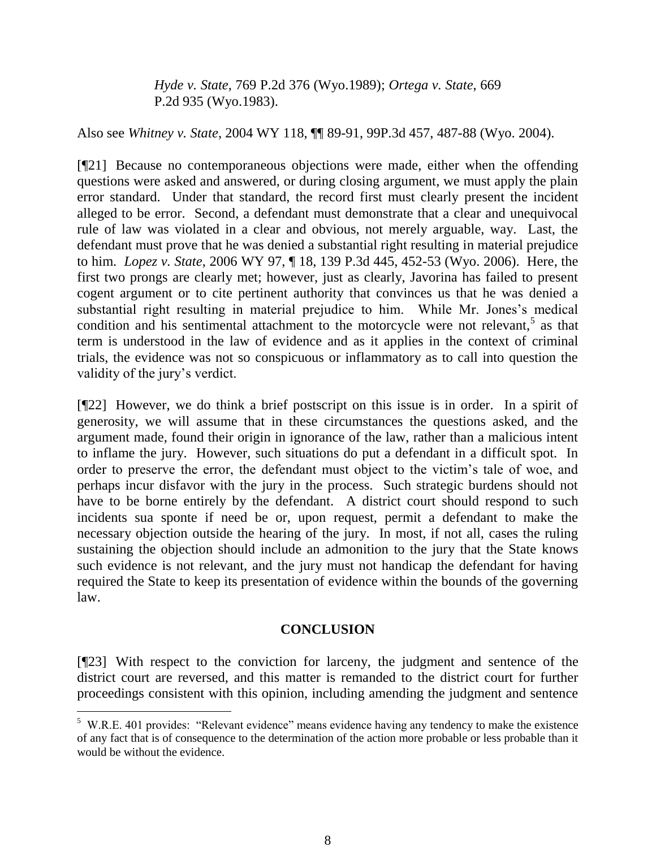*Hyde v. State*, 769 P.2d 376 (Wyo.1989); *Ortega v. State*, 669 P.2d 935 (Wyo.1983).

Also see *Whitney v. State*, 2004 WY 118, ¶¶ 89-91, 99P.3d 457, 487-88 (Wyo. 2004).

[¶21] Because no contemporaneous objections were made, either when the offending questions were asked and answered, or during closing argument, we must apply the plain error standard. Under that standard, the record first must clearly present the incident alleged to be error. Second, a defendant must demonstrate that a clear and unequivocal rule of law was violated in a clear and obvious, not merely arguable, way. Last, the defendant must prove that he was denied a substantial right resulting in material prejudice to him. *Lopez v. State*, 2006 WY 97, ¶ 18, 139 P.3d 445, 452-53 (Wyo. 2006). Here, the first two prongs are clearly met; however, just as clearly, Javorina has failed to present cogent argument or to cite pertinent authority that convinces us that he was denied a substantial right resulting in material prejudice to him. While Mr. Jones's medical condition and his sentimental attachment to the motorcycle were not relevant, $5$  as that term is understood in the law of evidence and as it applies in the context of criminal trials, the evidence was not so conspicuous or inflammatory as to call into question the validity of the jury's verdict.

[¶22] However, we do think a brief postscript on this issue is in order. In a spirit of generosity, we will assume that in these circumstances the questions asked, and the argument made, found their origin in ignorance of the law, rather than a malicious intent to inflame the jury. However, such situations do put a defendant in a difficult spot. In order to preserve the error, the defendant must object to the victim's tale of woe, and perhaps incur disfavor with the jury in the process. Such strategic burdens should not have to be borne entirely by the defendant. A district court should respond to such incidents sua sponte if need be or, upon request, permit a defendant to make the necessary objection outside the hearing of the jury. In most, if not all, cases the ruling sustaining the objection should include an admonition to the jury that the State knows such evidence is not relevant, and the jury must not handicap the defendant for having required the State to keep its presentation of evidence within the bounds of the governing law.

# **CONCLUSION**

[¶23] With respect to the conviction for larceny, the judgment and sentence of the district court are reversed, and this matter is remanded to the district court for further proceedings consistent with this opinion, including amending the judgment and sentence

<sup>&</sup>lt;sup>5</sup> W.R.E. 401 provides: "Relevant evidence" means evidence having any tendency to make the existence of any fact that is of consequence to the determination of the action more probable or less probable than it would be without the evidence.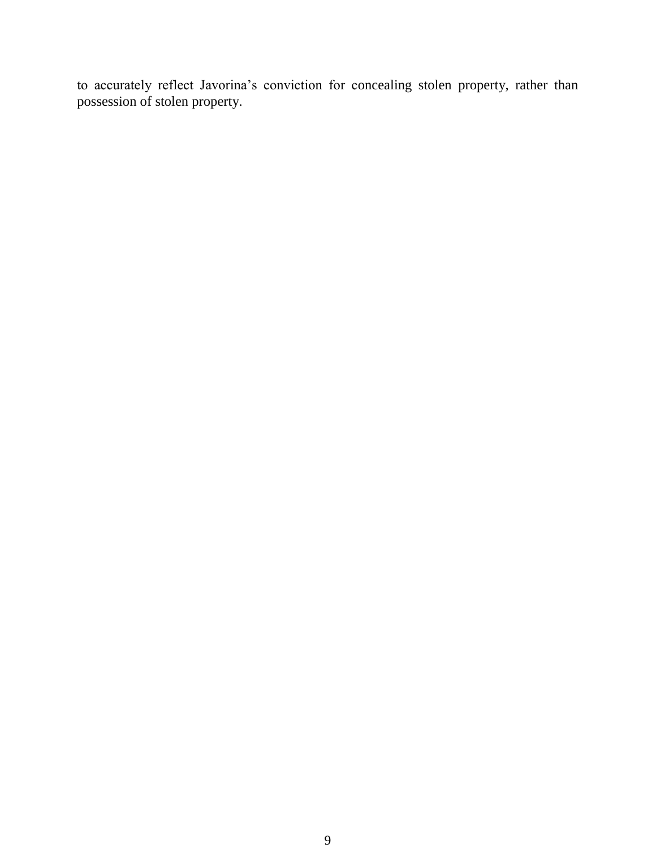to accurately reflect Javorina's conviction for concealing stolen property, rather than possession of stolen property.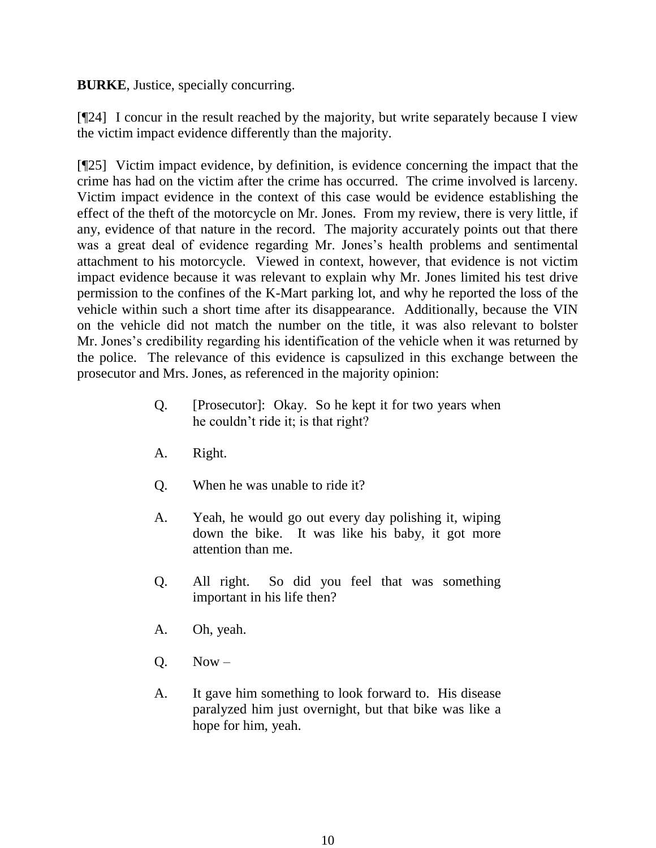**BURKE**, Justice, specially concurring.

[¶24] I concur in the result reached by the majority, but write separately because I view the victim impact evidence differently than the majority.

[¶25] Victim impact evidence, by definition, is evidence concerning the impact that the crime has had on the victim after the crime has occurred. The crime involved is larceny. Victim impact evidence in the context of this case would be evidence establishing the effect of the theft of the motorcycle on Mr. Jones. From my review, there is very little, if any, evidence of that nature in the record. The majority accurately points out that there was a great deal of evidence regarding Mr. Jones's health problems and sentimental attachment to his motorcycle. Viewed in context, however, that evidence is not victim impact evidence because it was relevant to explain why Mr. Jones limited his test drive permission to the confines of the K-Mart parking lot, and why he reported the loss of the vehicle within such a short time after its disappearance. Additionally, because the VIN on the vehicle did not match the number on the title, it was also relevant to bolster Mr. Jones's credibility regarding his identification of the vehicle when it was returned by the police. The relevance of this evidence is capsulized in this exchange between the prosecutor and Mrs. Jones, as referenced in the majority opinion:

- Q. [Prosecutor]: Okay. So he kept it for two years when he couldn't ride it; is that right?
- A. Right.
- Q. When he was unable to ride it?
- A. Yeah, he would go out every day polishing it, wiping down the bike. It was like his baby, it got more attention than me.
- Q. All right. So did you feel that was something important in his life then?
- A. Oh, yeah.
- $O.$  Now –
- A. It gave him something to look forward to. His disease paralyzed him just overnight, but that bike was like a hope for him, yeah.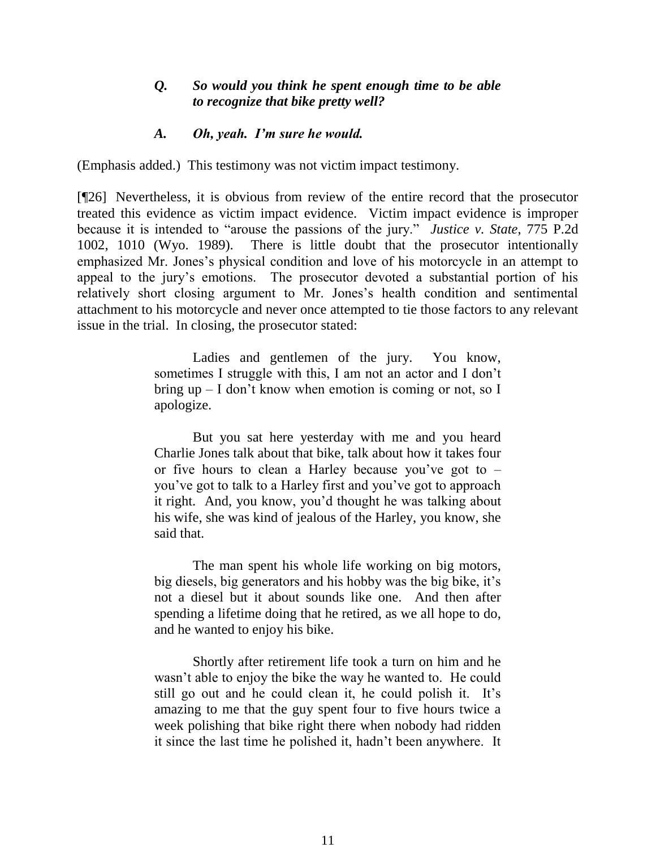## *Q. So would you think he spent enough time to be able to recognize that bike pretty well?*

#### *A. Oh, yeah. I'm sure he would.*

(Emphasis added.) This testimony was not victim impact testimony.

[¶26] Nevertheless, it is obvious from review of the entire record that the prosecutor treated this evidence as victim impact evidence. Victim impact evidence is improper because it is intended to "arouse the passions of the jury." *Justice v. State*, 775 P.2d 1002, 1010 (Wyo. 1989). There is little doubt that the prosecutor intentionally emphasized Mr. Jones's physical condition and love of his motorcycle in an attempt to appeal to the jury's emotions. The prosecutor devoted a substantial portion of his relatively short closing argument to Mr. Jones's health condition and sentimental attachment to his motorcycle and never once attempted to tie those factors to any relevant issue in the trial. In closing, the prosecutor stated:

> Ladies and gentlemen of the jury. You know, sometimes I struggle with this, I am not an actor and I don't bring up – I don't know when emotion is coming or not, so I apologize.

> But you sat here yesterday with me and you heard Charlie Jones talk about that bike, talk about how it takes four or five hours to clean a Harley because you've got to – you've got to talk to a Harley first and you've got to approach it right. And, you know, you'd thought he was talking about his wife, she was kind of jealous of the Harley, you know, she said that.

> The man spent his whole life working on big motors, big diesels, big generators and his hobby was the big bike, it's not a diesel but it about sounds like one. And then after spending a lifetime doing that he retired, as we all hope to do, and he wanted to enjoy his bike.

> Shortly after retirement life took a turn on him and he wasn't able to enjoy the bike the way he wanted to. He could still go out and he could clean it, he could polish it. It's amazing to me that the guy spent four to five hours twice a week polishing that bike right there when nobody had ridden it since the last time he polished it, hadn't been anywhere. It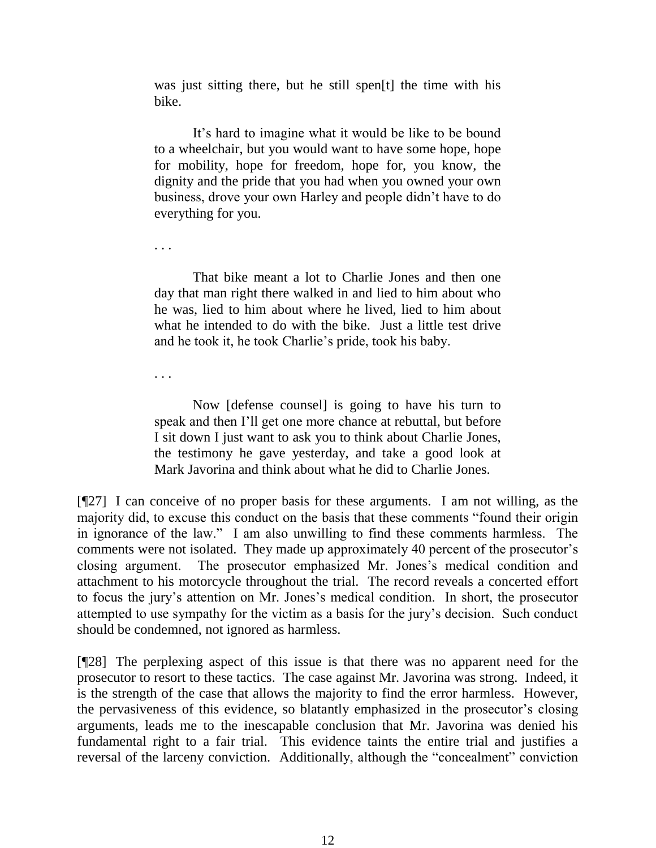was just sitting there, but he still spen[t] the time with his bike.

It's hard to imagine what it would be like to be bound to a wheelchair, but you would want to have some hope, hope for mobility, hope for freedom, hope for, you know, the dignity and the pride that you had when you owned your own business, drove your own Harley and people didn't have to do everything for you.

. . .

That bike meant a lot to Charlie Jones and then one day that man right there walked in and lied to him about who he was, lied to him about where he lived, lied to him about what he intended to do with the bike. Just a little test drive and he took it, he took Charlie's pride, took his baby.

. . .

Now [defense counsel] is going to have his turn to speak and then I'll get one more chance at rebuttal, but before I sit down I just want to ask you to think about Charlie Jones, the testimony he gave yesterday, and take a good look at Mark Javorina and think about what he did to Charlie Jones.

[¶27] I can conceive of no proper basis for these arguments. I am not willing, as the majority did, to excuse this conduct on the basis that these comments "found their origin in ignorance of the law." I am also unwilling to find these comments harmless. The comments were not isolated. They made up approximately 40 percent of the prosecutor's closing argument. The prosecutor emphasized Mr. Jones's medical condition and attachment to his motorcycle throughout the trial. The record reveals a concerted effort to focus the jury's attention on Mr. Jones's medical condition. In short, the prosecutor attempted to use sympathy for the victim as a basis for the jury's decision. Such conduct should be condemned, not ignored as harmless.

[¶28] The perplexing aspect of this issue is that there was no apparent need for the prosecutor to resort to these tactics. The case against Mr. Javorina was strong. Indeed, it is the strength of the case that allows the majority to find the error harmless. However, the pervasiveness of this evidence, so blatantly emphasized in the prosecutor's closing arguments, leads me to the inescapable conclusion that Mr. Javorina was denied his fundamental right to a fair trial. This evidence taints the entire trial and justifies a reversal of the larceny conviction. Additionally, although the "concealment" conviction